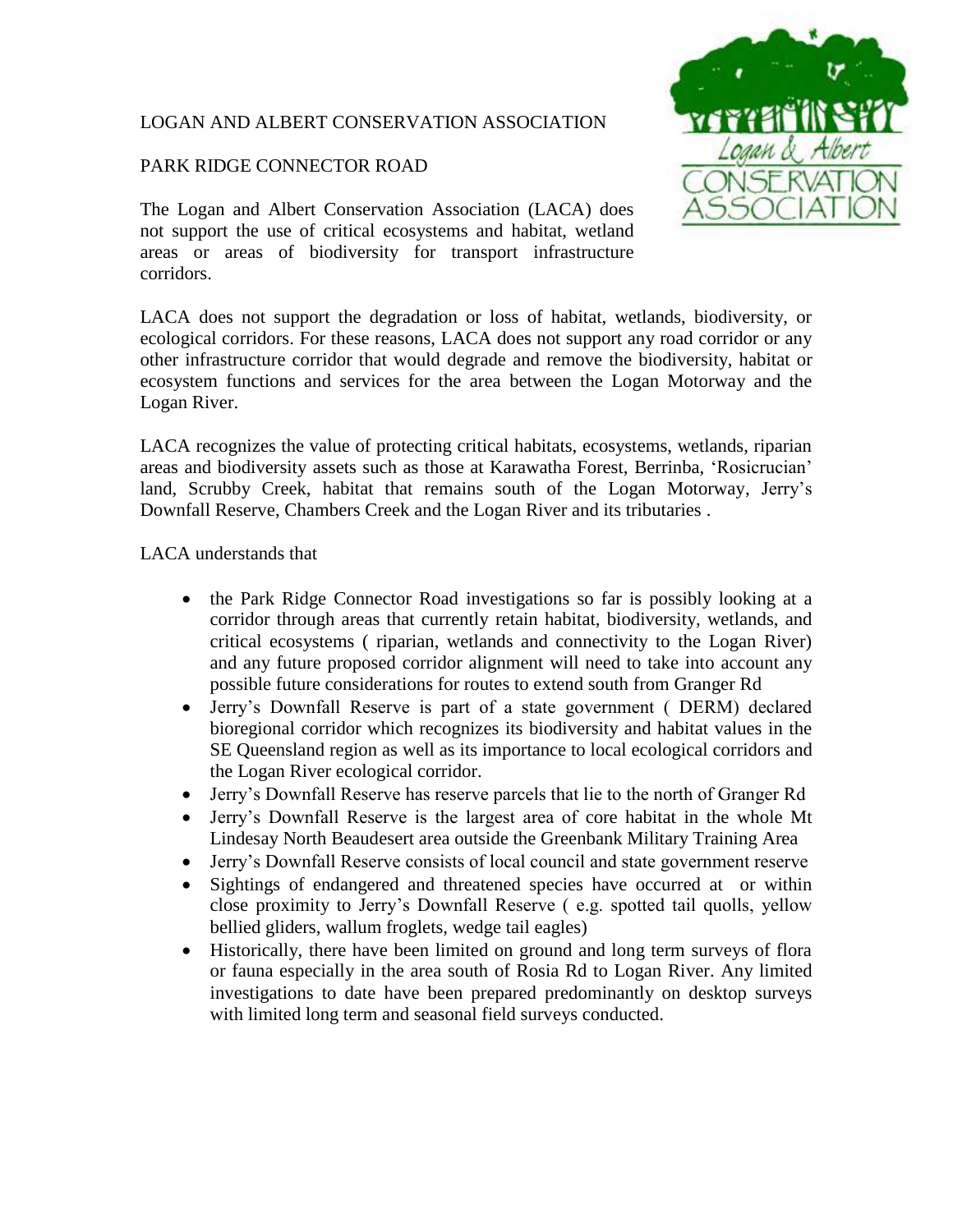# LOGAN AND ALBERT CONSERVATION ASSOCIATION

# PARK RIDGE CONNECTOR ROAD

The Logan and Albert Conservation Association (LACA) does not support the use of critical ecosystems and habitat, wetland areas or areas of biodiversity for transport infrastructure corridors.



LACA does not support the degradation or loss of habitat, wetlands, biodiversity, or ecological corridors. For these reasons, LACA does not support any road corridor or any other infrastructure corridor that would degrade and remove the biodiversity, habitat or ecosystem functions and services for the area between the Logan Motorway and the Logan River.

LACA recognizes the value of protecting critical habitats, ecosystems, wetlands, riparian areas and biodiversity assets such as those at Karawatha Forest, Berrinba, 'Rosicrucian' land, Scrubby Creek, habitat that remains south of the Logan Motorway, Jerry's Downfall Reserve, Chambers Creek and the Logan River and its tributaries .

LACA understands that

- the Park Ridge Connector Road investigations so far is possibly looking at a corridor through areas that currently retain habitat, biodiversity, wetlands, and critical ecosystems ( riparian, wetlands and connectivity to the Logan River) and any future proposed corridor alignment will need to take into account any possible future considerations for routes to extend south from Granger Rd
- Jerry's Downfall Reserve is part of a state government ( DERM) declared bioregional corridor which recognizes its biodiversity and habitat values in the SE Queensland region as well as its importance to local ecological corridors and the Logan River ecological corridor.
- Jerry's Downfall Reserve has reserve parcels that lie to the north of Granger Rd
- Jerry's Downfall Reserve is the largest area of core habitat in the whole Mt Lindesay North Beaudesert area outside the Greenbank Military Training Area
- Jerry's Downfall Reserve consists of local council and state government reserve
- Sightings of endangered and threatened species have occurred at or within close proximity to Jerry's Downfall Reserve ( e.g. spotted tail quolls, yellow bellied gliders, wallum froglets, wedge tail eagles)
- Historically, there have been limited on ground and long term surveys of flora or fauna especially in the area south of Rosia Rd to Logan River. Any limited investigations to date have been prepared predominantly on desktop surveys with limited long term and seasonal field surveys conducted.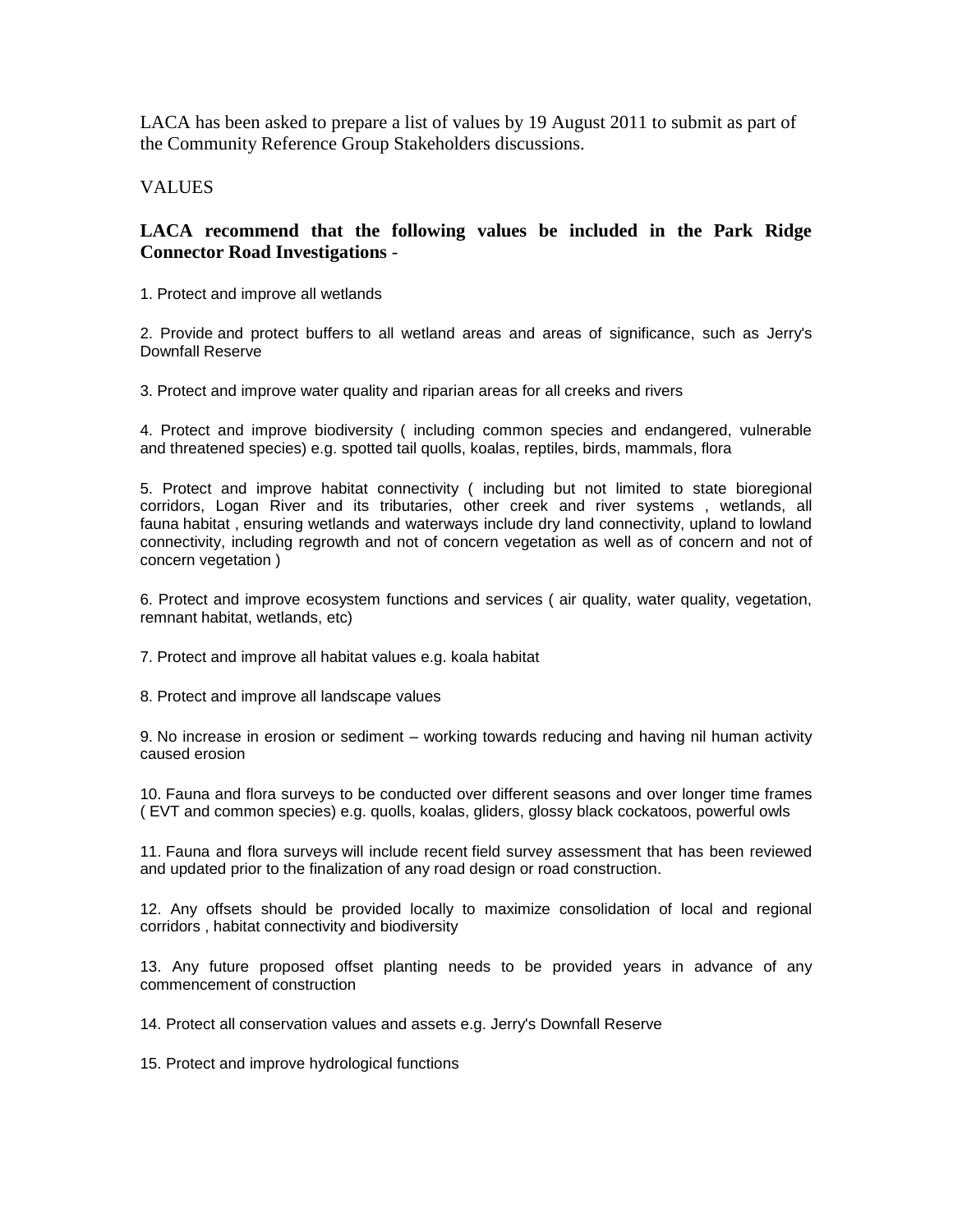LACA has been asked to prepare a list of values by 19 August 2011 to submit as part of the Community Reference Group Stakeholders discussions.

### VALUES

## **LACA recommend that the following values be included in the Park Ridge Connector Road Investigations** -

1. Protect and improve all wetlands

2. Provide and protect buffers to all wetland areas and areas of significance, such as Jerry's Downfall Reserve

3. Protect and improve water quality and riparian areas for all creeks and rivers

4. Protect and improve biodiversity ( including common species and endangered, vulnerable and threatened species) e.g. spotted tail quolls, koalas, reptiles, birds, mammals, flora

5. Protect and improve habitat connectivity ( including but not limited to state bioregional corridors, Logan River and its tributaries, other creek and river systems , wetlands, all fauna habitat , ensuring wetlands and waterways include dry land connectivity, upland to lowland connectivity, including regrowth and not of concern vegetation as well as of concern and not of concern vegetation )

6. Protect and improve ecosystem functions and services ( air quality, water quality, vegetation, remnant habitat, wetlands, etc)

7. Protect and improve all habitat values e.g. koala habitat

8. Protect and improve all landscape values

9. No increase in erosion or sediment – working towards reducing and having nil human activity caused erosion

10. Fauna and flora surveys to be conducted over different seasons and over longer time frames ( EVT and common species) e.g. quolls, koalas, gliders, glossy black cockatoos, powerful owls

11. Fauna and flora surveys will include recent field survey assessment that has been reviewed and updated prior to the finalization of any road design or road construction.

12. Any offsets should be provided locally to maximize consolidation of local and regional corridors , habitat connectivity and biodiversity

13. Any future proposed offset planting needs to be provided years in advance of any commencement of construction

14. Protect all conservation values and assets e.g. Jerry's Downfall Reserve

15. Protect and improve hydrological functions